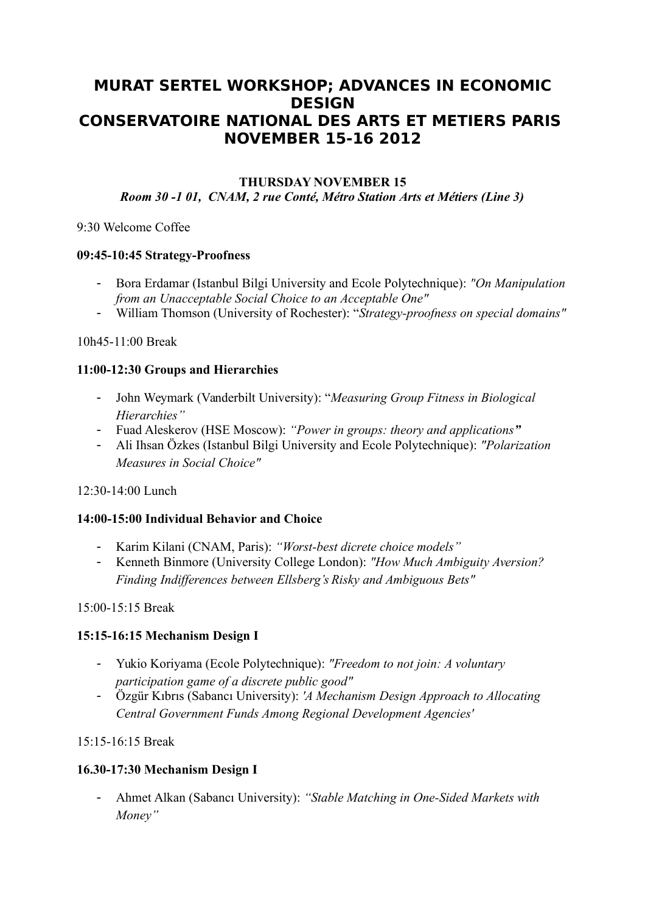# **MURAT SERTEL WORKSHOP; ADVANCES IN ECONOMIC DESIGN CONSERVATOIRE NATIONAL DES ARTS ET METIERS PARIS NOVEMBER 15-16 2012**

#### **THURSDAY NOVEMBER 15** *Room 30 -1 01, CNAM, 2 rue Conté, Métro Station Arts et Métiers (Line 3)*

#### 9:30 Welcome Coffee

#### **09:45-10:45 Strategy-Proofness**

- Bora Erdamar (Istanbul Bilgi University and Ecole Polytechnique): *"On Manipulation from an Unacceptable Social Choice to an Acceptable One"*
- William Thomson (University of Rochester): "*Strategy-proofness on special domains"*

#### 10h45-11:00 Break

### **11:00-12:30 Groups and Hierarchies**

- John Weymark (Vanderbilt University): "*Measuring Group Fitness in Biological Hierarchies"*
- Fuad Aleskerov (HSE Moscow): *"Power in groups: theory and applications"*
- Ali Ihsan Özkes (Istanbul Bilgi University and Ecole Polytechnique): *"Polarization Measures in Social Choice"*

#### 12:30-14:00 Lunch

## **14:00-15:00 Individual Behavior and Choice**

- Karim Kilani (CNAM, Paris): *"Worst-best dicrete choice models"*
- Kenneth Binmore (University College London): *"How Much Ambiguity Aversion? Finding Indifferences between Ellsberg's Risky and Ambiguous Bets"*

#### 15:00-15:15 Break

## **15:15-16:15 Mechanism Design I**

- Yukio Koriyama (Ecole Polytechnique): *"Freedom to not join: A voluntary participation game of a discrete public good"*
- Özgür Kıbrıs (Sabancı University): *'A Mechanism Design Approach to Allocating Central Government Funds Among Regional Development Agencies'*

15:15-16:15 Break

#### **16.30-17:30 Mechanism Design I**

- Ahmet Alkan (Sabancı University): *"Stable Matching in One-Sided Markets with Money"*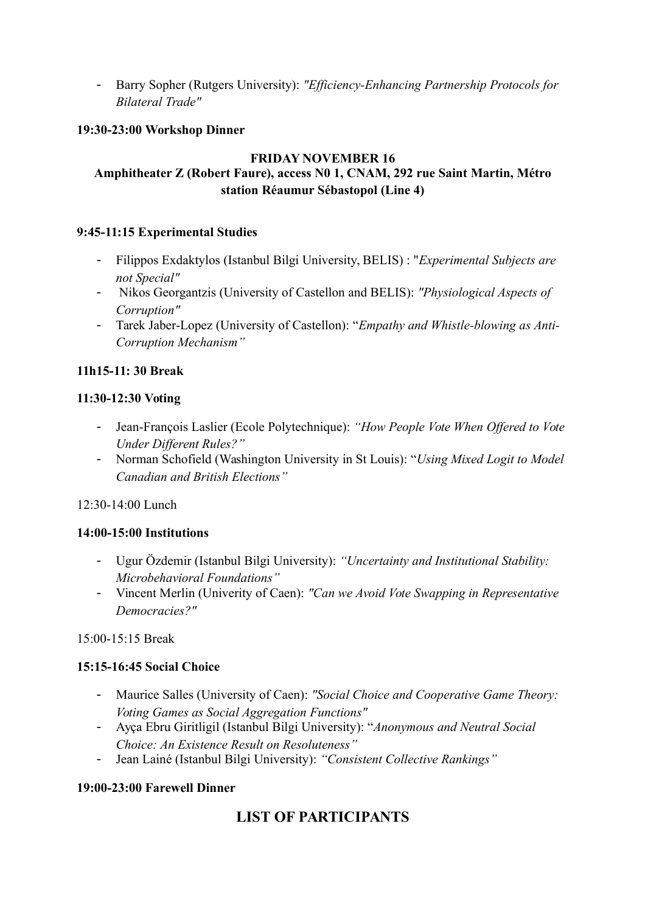- Barry Sopher (Rutgers University): *"Efficiency-Enhancing Partnership Protocols for Bilateral Trade"*

### **19:30-23:00 Workshop Dinner**

#### **FRIDAY NOVEMBER 16**

## **Amphitheater Z (Robert Faure), access N0 1, CNAM, 292 rue Saint Martin, Métro station Réaumur Sébastopol (Line 4)**

### **9:45-11:15 Experimental Studies**

- Filippos Exdaktylos (Istanbul Bilgi University, BELIS) : "*Experimental Subjects are not Special"*
- Nikos Georgantzis (University of Castellon and BELIS): *"Physiological Aspects of Corruption"*
- Tarek Jaber-Lopez (University of Castellon): "*Empathy and Whistle-blowing as Anti-Corruption Mechanism"*

### **11h15-11: 30 Break**

### **11:30-12:30 Voting**

- Jean-François Laslier (Ecole Polytechnique): *"How People Vote When Offered to Vote Under Different Rules?"*
- Norman Schofield (Washington University in St Louis): "*Using Mixed Logit to Model Canadian and British Elections"*

#### 12:30-14:00 Lunch

#### **14:00-15:00 Institutions**

- Ugur Özdemir (Istanbul Bilgi University): *"Uncertainty and Institutional Stability: Microbehavioral Foundations"*
- Vincent Merlin (Univerity of Caen): *"Can we Avoid Vote Swapping in Representative Democracies?"*

#### 15:00-15:15 Break

#### **15:15-16:45 Social Choice**

- Maurice Salles (University of Caen): *"Social Choice and Cooperative Game Theory: Voting Games as Social Aggregation Functions"*
- Ayça Ebru Giritligil (Istanbul Bilgi University): "*Anonymous and Neutral Social Choice: An Existence Result on Resoluteness"*
- Jean Lainé (Istanbul Bilgi University): *"Consistent Collective Rankings"*

## **19:00-23:00 Farewell Dinner**

## **LIST OF PARTICIPANTS**